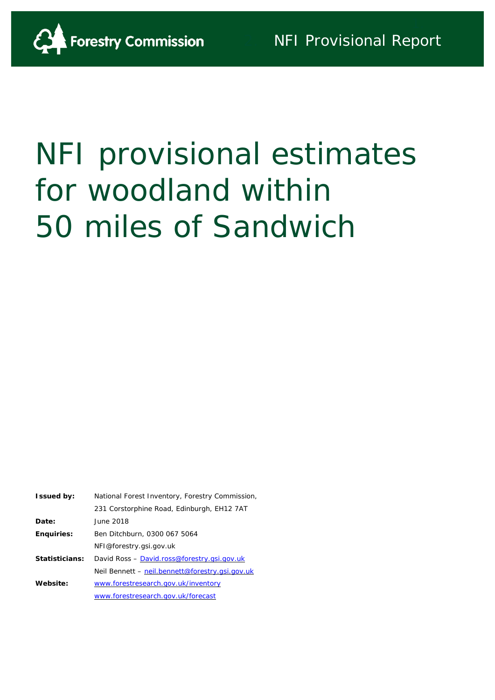

# NFI provisional estimates for woodland within 50 miles of Sandwich

| <b>Issued by:</b> | National Forest Inventory, Forestry Commission, |
|-------------------|-------------------------------------------------|
|                   | 231 Corstorphine Road, Edinburgh, EH12 7AT      |
| Date:             | June 2018                                       |
| <b>Enquiries:</b> | Ben Ditchburn, 0300 067 5064                    |
|                   | NFI@forestry.gsi.gov.uk                         |
| Statisticians:    | David Ross - David.ross@forestry.gsi.gov.uk     |
|                   | Neil Bennett – neil.bennett@forestry.gsi.gov.uk |
| Website:          | www.forestresearch.gov.uk/inventory             |
|                   | www.forestresearch.gov.uk/forecast              |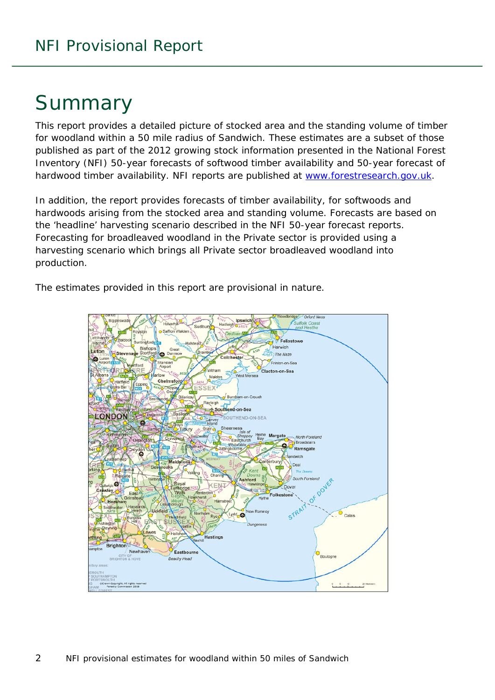## Summary

This report provides a detailed picture of stocked area and the standing volume of timber for woodland within a 50 mile radius of Sandwich. These estimates are a subset of those published as part of the 2012 growing stock information presented in the National Forest Inventory (NFI) *50-year forecasts of softwood timber availability* and *50-year forecast of hardwood timber availability*. NFI reports are published at [www.forestresearch.gov.uk.](http://www.forestresearch.gov.uk/)

In addition, the report provides forecasts of timber availability, for softwoods and hardwoods arising from the stocked area and standing volume. Forecasts are based on the 'headline' harvesting scenario described in the NFI 50-year forecast reports. Forecasting for broadleaved woodland in the Private sector is provided using a harvesting scenario which brings all Private sector broadleaved woodland into production.

The estimates provided in this report are provisional in nature.

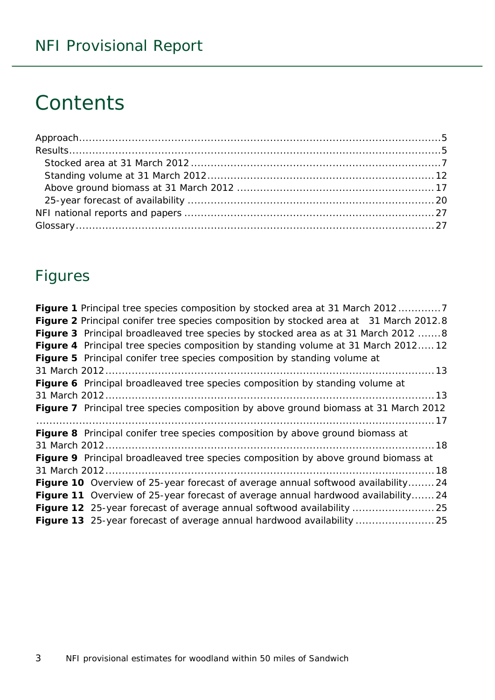## **Contents**

## Figures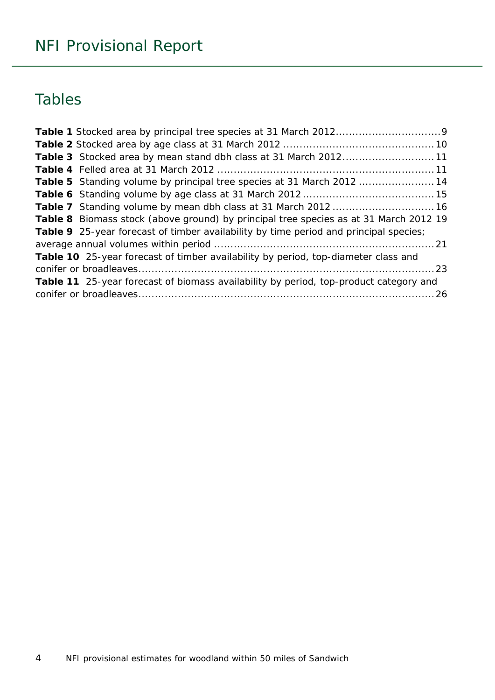## Tables

| Table 3 Stocked area by mean stand dbh class at 31 March 201211                       |  |
|---------------------------------------------------------------------------------------|--|
|                                                                                       |  |
| Table 5 Standing volume by principal tree species at 31 March 2012 14                 |  |
|                                                                                       |  |
|                                                                                       |  |
| Table 8 Biomass stock (above ground) by principal tree species as at 31 March 2012 19 |  |
| Table 9 25-year forecast of timber availability by time period and principal species; |  |
|                                                                                       |  |
| Table 10 25-year forecast of timber availability by period, top-diameter class and    |  |
|                                                                                       |  |
| Table 11 25-year forecast of biomass availability by period, top-product category and |  |
|                                                                                       |  |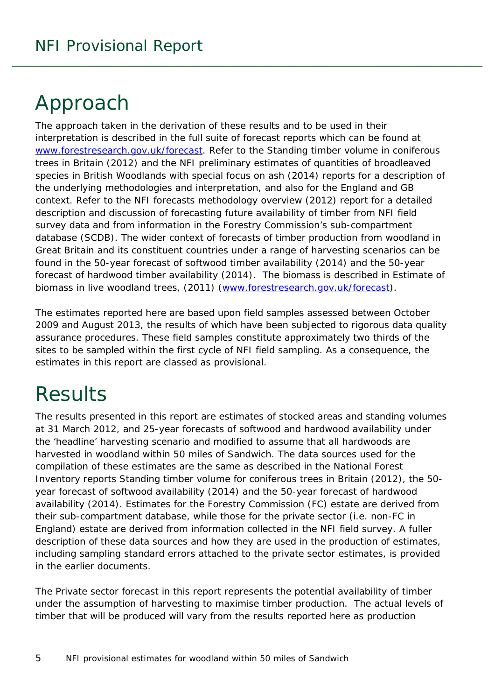## <span id="page-4-0"></span>Approach

The approach taken in the derivation of these results and to be used in their interpretation is described in the full suite of forecast reports which can be found at [www.forestresearch.gov.uk/forecast.](http://www.forestresearch.gov.uk/forecast) Refer to the *Standing timber volume in coniferous trees in Britain* (2012) and the *NFI preliminary estimates of quantities of broadleaved species in British Woodlands with special focus on ash* (2014) reports for a description of the underlying methodologies and interpretation, and also for the England and GB context. Refer to the *NFI forecasts methodology overview* (2012) report for a detailed description and discussion of forecasting future availability of timber from NFI field survey data and from information in the Forestry Commission's sub-compartment database (SCDB). The wider context of forecasts of timber production from woodland in Great Britain and its constituent countries under a range of harvesting scenarios can be found in the *50-year forecast of softwood timber availability* (2014) and the *50-year forecast of hardwood timber availability* (2014). The biomass is described in *Estimate of biomass in live woodland trees*, (2011) [\(www.forestresearch.gov.uk/forecast\)](http://www.forestresearch.gov.uk/forecast).

The estimates reported here are based upon field samples assessed between October 2009 and August 2013, the results of which have been subjected to rigorous data quality assurance procedures. These field samples constitute approximately two thirds of the sites to be sampled within the first cycle of NFI field sampling. As a consequence, the estimates in this report are classed as provisional.

## <span id="page-4-1"></span>**Results**

The results presented in this report are estimates of stocked areas and standing volumes at 31 March 2012, and 25-year forecasts of softwood and hardwood availability under the 'headline' harvesting scenario and modified to assume that all hardwoods are harvested in woodland within 50 miles of Sandwich. The data sources used for the compilation of these estimates are the same as described in the National Forest Inventory reports *Standing timber volume for coniferous trees in Britain* (2012), the *50 year forecast of softwood availability* (2014) and the *50-year forecast of hardwood availability* (2014). Estimates for the Forestry Commission (FC) estate are derived from their sub-compartment database, while those for the private sector (i.e. non-FC in England) estate are derived from information collected in the NFI field survey. A fuller description of these data sources and how they are used in the production of estimates, including sampling standard errors attached to the private sector estimates, is provided in the earlier documents.

The Private sector forecast in this report represents the potential availability of timber under the assumption of harvesting to maximise timber production. The actual levels of timber that will be produced will vary from the results reported here as production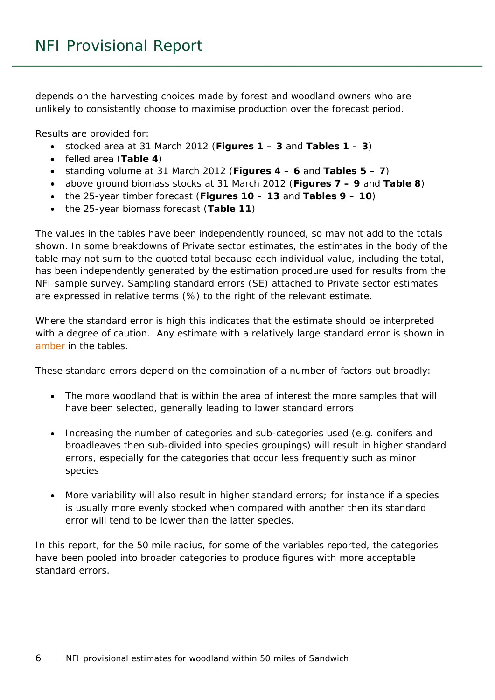depends on the harvesting choices made by forest and woodland owners who are unlikely to consistently choose to maximise production over the forecast period.

Results are provided for:

- stocked area at 31 March 2012 (**Figures 1 – 3** and **Tables 1 – 3**)
- felled area (**Table 4**)
- standing volume at 31 March 2012 (**Figures 4 – 6** and **Tables 5 – 7**)
- above ground biomass stocks at 31 March 2012 (**Figures 7 – 9** and **Table 8**)
- the 25-year timber forecast (**Figures 10 – 13** and **Tables 9 – 10**)
- the 25-year biomass forecast (**Table 11**)

The values in the tables have been independently rounded, so may not add to the totals shown. In some breakdowns of Private sector estimates, the estimates in the body of the table may not sum to the quoted total because each individual value, including the total, has been independently generated by the estimation procedure used for results from the NFI sample survey. Sampling standard errors (SE) attached to Private sector estimates are expressed in relative terms (%) to the right of the relevant estimate.

Where the standard error is high this indicates that the estimate should be interpreted with a degree of caution. Any estimate with a relatively large standard error is shown in amber in the tables.

These standard errors depend on the combination of a number of factors but broadly:

- The more woodland that is within the area of interest the more samples that will have been selected, generally leading to lower standard errors
- Increasing the number of categories and sub-categories used (e.g. conifers and broadleaves then sub-divided into species groupings) will result in higher standard errors, especially for the categories that occur less frequently such as minor species
- More variability will also result in higher standard errors; for instance if a species is usually more evenly stocked when compared with another then its standard error will tend to be lower than the latter species.

In this report, for the 50 mile radius, for some of the variables reported, the categories have been pooled into broader categories to produce figures with more acceptable standard errors.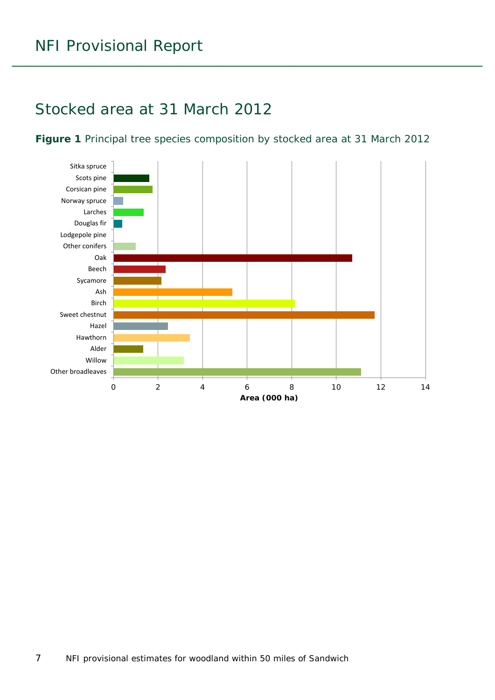### <span id="page-6-0"></span>Stocked area at 31 March 2012

#### <span id="page-6-1"></span>**Figure 1** Principal tree species composition by stocked area at 31 March 2012

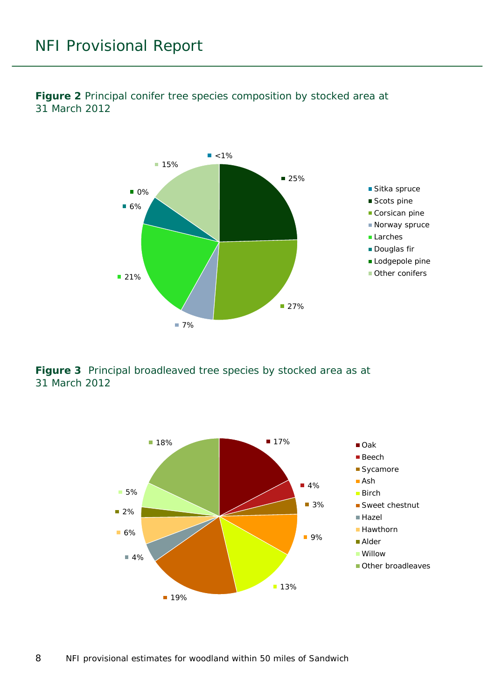

<span id="page-7-0"></span>**Figure 2** Principal conifer tree species composition by stocked area at 31 March 2012

<span id="page-7-1"></span>**Figure 3** Principal broadleaved tree species by stocked area as at 31 March 2012

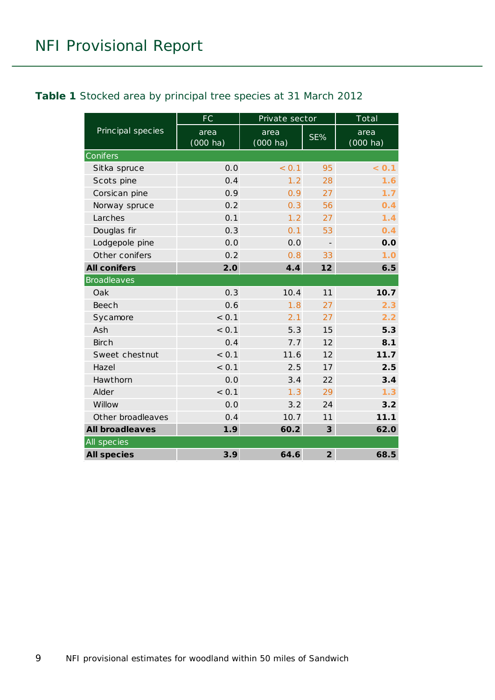#### <span id="page-8-0"></span>**Table 1** Stocked area by principal tree species at 31 March 2012

|                        | <b>FC</b>                  | Private sector     |                          | Total              |
|------------------------|----------------------------|--------------------|--------------------------|--------------------|
| Principal species      | area<br>$(000 \text{ ha})$ | area<br>$(000$ ha) | SE%                      | area<br>$(000$ ha) |
| Conifers               |                            |                    |                          |                    |
| Sitka spruce           | 0.0                        | < 0.1              | 95                       | < 0.1              |
| Scots pine             | 0.4                        | 1.2                | 28                       | 1.6                |
| Corsican pine          | 0.9                        | 0.9                | 27                       | 1.7                |
| Norway spruce          | 0.2                        | 0.3                | 56                       | 0.4                |
| Larches                | 0.1                        | 1.2                | 27                       | 1.4                |
| Douglas fir            | 0.3                        | 0.1                | 53                       | 0.4                |
| Lodgepole pine         | 0.0                        | 0.0                | $\overline{\phantom{a}}$ | 0.0                |
| Other conifers         | 0.2                        | 0.8                | 33                       | 1.0                |
| <b>All conifers</b>    | 2.0                        | 4.4                | 12                       | 6.5                |
| <b>Broadleaves</b>     |                            |                    |                          |                    |
| Oak                    | 0.3                        | 10.4               | 11                       | 10.7               |
| Beech                  | 0.6                        | 1.8                | 27                       | 2.3                |
| Sycamore               | < 0.1                      | 2.1                | 27                       | 2.2                |
| Ash                    | < 0.1                      | 5.3                | 15                       | 5.3                |
| <b>Birch</b>           | 0.4                        | 7.7                | 12                       | 8.1                |
| Sweet chestnut         | < 0.1                      | 11.6               | 12                       | 11.7               |
| Hazel                  | < 0.1                      | 2.5                | 17                       | 2.5                |
| Hawthorn               | 0.0                        | 3.4                | 22                       | 3.4                |
| Alder                  | < 0.1                      | 1.3                | 29                       | 1.3                |
| Willow                 | 0.0                        | 3.2                | 24                       | 3.2                |
| Other broadleaves      | 0.4                        | 10.7               | 11                       | 11.1               |
| <b>All broadleaves</b> | 1.9                        | 60.2               | 3                        | 62.0               |
| All species            |                            |                    |                          |                    |
| <b>All species</b>     | 3.9                        | 64.6               | $\overline{2}$           | 68.5               |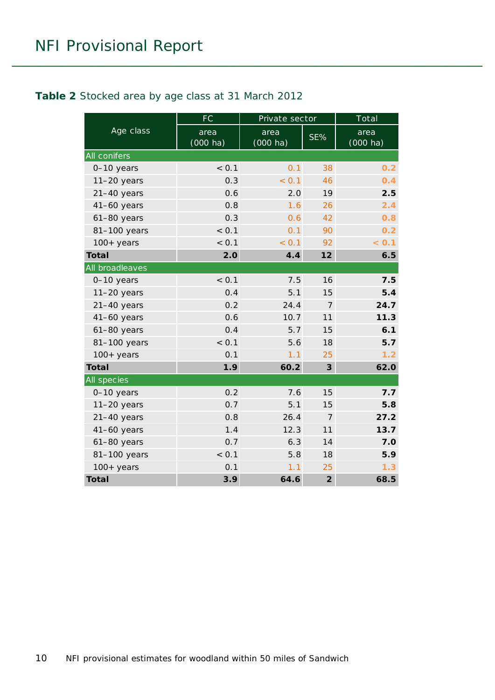#### <span id="page-9-0"></span>**Table 2** Stocked area by age class at 31 March 2012

|                 | <b>FC</b>                  | Private sector             |                | Total              |
|-----------------|----------------------------|----------------------------|----------------|--------------------|
| Age class       | area<br>$(000 \text{ ha})$ | area<br>$(000 \text{ ha})$ | SE%            | area<br>$(000$ ha) |
| All conifers    |                            |                            |                |                    |
| 0-10 years      | < 0.1                      | 0.1                        | 38             | 0.2                |
| $11-20$ years   | 0.3                        | < 0.1                      | 46             | 0.4                |
| $21-40$ years   | 0.6                        | 2.0                        | 19             | 2.5                |
| 41-60 years     | 0.8                        | 1.6                        | 26             | 2.4                |
| $61-80$ years   | 0.3                        | 0.6                        | 42             | 0.8                |
| 81-100 years    | < 0.1                      | 0.1                        | 90             | 0.2                |
| $100+$ years    | < 0.1                      | < 0.1                      | 92             | < 0.1              |
| Total           | 2.0                        | 4.4                        | 12             | 6.5                |
| All broadleaves |                            |                            |                |                    |
| 0-10 years      | < 0.1                      | 7.5                        | 16             | 7.5                |
| $11-20$ years   | 0.4                        | 5.1                        | 15             | 5.4                |
| $21-40$ years   | 0.2                        | 24.4                       | $\overline{7}$ | 24.7               |
| $41-60$ years   | 0.6                        | 10.7                       | 11             | 11.3               |
| $61-80$ years   | 0.4                        | 5.7                        | 15             | 6.1                |
| 81-100 years    | < 0.1                      | 5.6                        | 18             | 5.7                |
| $100+$ years    | 0.1                        | 1.1                        | 25             | 1.2                |
| <b>Total</b>    | 1.9                        | 60.2                       | 3              | 62.0               |
| All species     |                            |                            |                |                    |
| 0-10 years      | 0.2                        | 7.6                        | 15             | 7.7                |
| $11-20$ years   | 0.7                        | 5.1                        | 15             | 5.8                |
| $21-40$ years   | 0.8                        | 26.4                       | 7              | 27.2               |
| $41-60$ years   | 1.4                        | 12.3                       | 11             | 13.7               |
| $61-80$ years   | 0.7                        | 6.3                        | 14             | 7.0                |
| 81-100 years    | < 0.1                      | 5.8                        | 18             | 5.9                |
| $100+$ years    | 0.1                        | 1.1                        | 25             | 1.3                |
| <b>Total</b>    | 3.9                        | 64.6                       | $\overline{2}$ | 68.5               |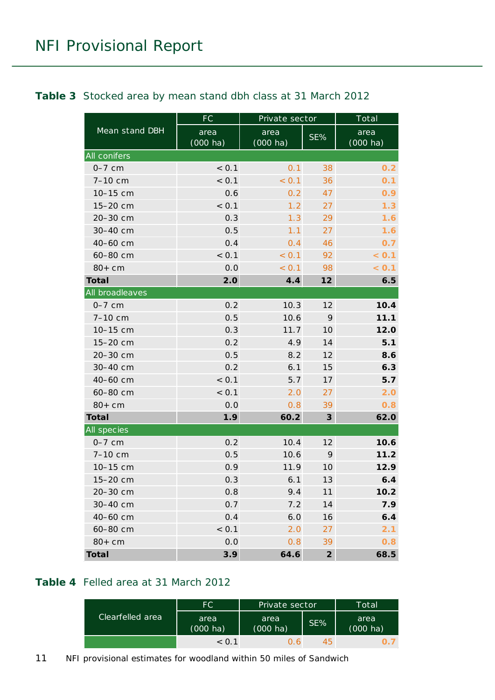#### <span id="page-10-0"></span>**Table 3** Stocked area by mean stand dbh class at 31 March 2012

|                     | <b>FC</b>          | Private sector             |                | Total                      |
|---------------------|--------------------|----------------------------|----------------|----------------------------|
| Mean stand DBH      | area<br>$(000$ ha) | area<br>$(000 \text{ ha})$ | SE%            | area<br>$(000 \text{ ha})$ |
| <b>All conifers</b> |                    |                            |                |                            |
| $0-7$ cm            | < 0.1              | 0.1                        | 38             | 0.2                        |
| 7-10 cm             | < 0.1              | < 0.1                      | 36             | 0.1                        |
| 10-15 cm            | 0.6                | 0.2                        | 47             | 0.9                        |
| 15-20 cm            | < 0.1              | 1.2                        | 27             | 1.3                        |
| 20-30 cm            | 0.3                | 1.3                        | 29             | 1.6                        |
| 30-40 cm            | 0.5                | 1.1                        | 27             | 1.6                        |
| 40-60 cm            | 0.4                | 0.4                        | 46             | 0.7                        |
| 60-80 cm            | < 0.1              | < 0.1                      | 92             | < 0.1                      |
| $80+cm$             | 0.0                | < 0.1                      | 98             | < 0.1                      |
| <b>Total</b>        | 2.0                | 4.4                        | 12             | 6.5                        |
| All broadleaves     |                    |                            |                |                            |
| $0-7$ cm            | 0.2                | 10.3                       | 12             | 10.4                       |
| 7-10 cm             | 0.5                | 10.6                       | 9              | 11.1                       |
| 10-15 cm            | 0.3                | 11.7                       | 10             | 12.0                       |
| 15-20 cm            | 0.2                | 4.9                        | 14             | 5.1                        |
| 20-30 cm            | 0.5                | 8.2                        | 12             | 8.6                        |
| 30-40 cm            | 0.2                | 6.1                        | 15             | 6.3                        |
| 40-60 cm            | < 0.1              | 5.7                        | 17             | 5.7                        |
| 60-80 cm            | < 0.1              | 2.0                        | 27             | 2.0                        |
| $80+cm$             | 0.0                | 0.8                        | 39             | 0.8                        |
| <b>Total</b>        | 1.9                | 60.2                       | $\mathbf{3}$   | 62.0                       |
| All species         |                    |                            |                |                            |
| $0-7$ cm            | 0.2                | 10.4                       | 12             | 10.6                       |
| 7-10 cm             | 0.5                | 10.6                       | 9              | 11.2                       |
| 10-15 cm            | 0.9                | 11.9                       | 10             | 12.9                       |
| 15-20 cm            | 0.3                | 6.1                        | 13             | 6.4                        |
| 20-30 cm            | 0.8                | 9.4                        | 11             | 10.2                       |
| 30-40 cm            | 0.7                | 7.2                        | 14             | 7.9                        |
| 40-60 cm            | 0.4                | 6.0                        | 16             | 6.4                        |
| 60-80 cm            | < 0.1              | 2.0                        | 27             | 2.1                        |
| $80+cm$             | 0.0                | 0.8                        | 39             | 0.8                        |
| <b>Total</b>        | 3.9                | 64.6                       | $\overline{2}$ | 68.5                       |

#### <span id="page-10-1"></span>**Table 4** Felled area at 31 March 2012

|                  | FC.                        | Private sector             |     | Total                      |
|------------------|----------------------------|----------------------------|-----|----------------------------|
| Clearfelled area | area<br>$(000 \text{ ha})$ | area<br>$(000 \text{ ha})$ | SE% | area<br>$(000 \text{ ha})$ |
|                  | < 0.1                      | 0 6.                       | 45  |                            |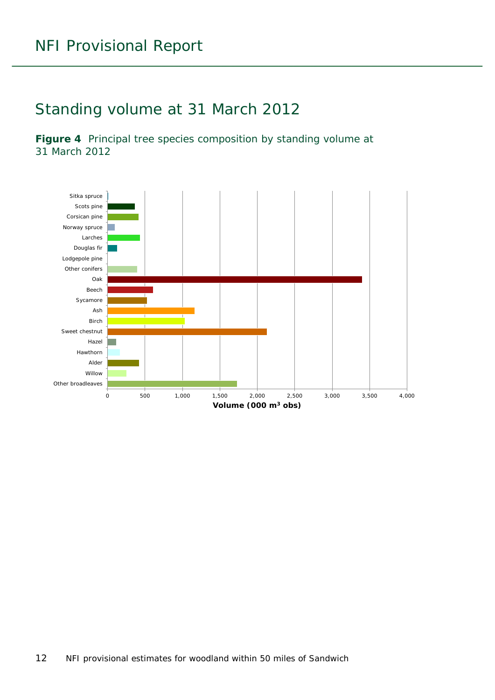### <span id="page-11-0"></span>Standing volume at 31 March 2012

<span id="page-11-1"></span>**Figure 4** Principal tree species composition by standing volume at 31 March 2012

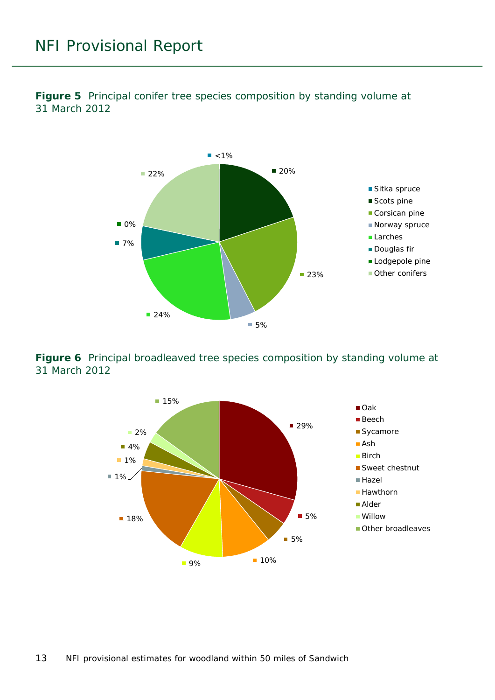

<span id="page-12-0"></span>**Figure 5** Principal conifer tree species composition by standing volume at 31 March 2012

<span id="page-12-1"></span>**Figure 6** Principal broadleaved tree species composition by standing volume at 31 March 2012

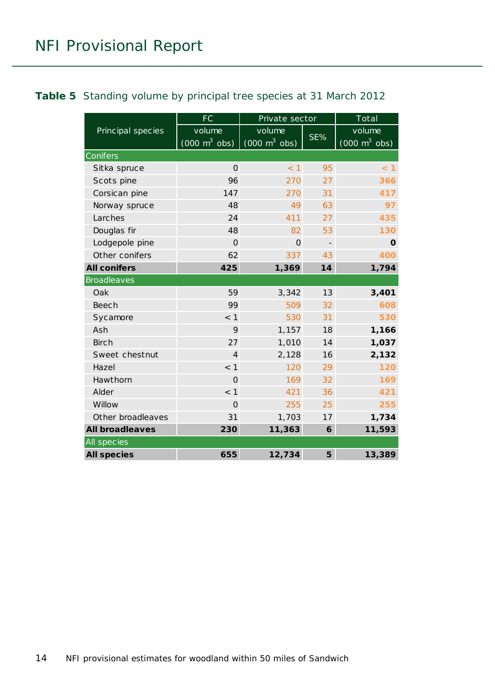#### <span id="page-13-0"></span>**Table 5** Standing volume by principal tree species at 31 March 2012

|                        | FC                                            | Private sector                                |                          | Total                                         |
|------------------------|-----------------------------------------------|-----------------------------------------------|--------------------------|-----------------------------------------------|
| Principal species      | volume<br>$(000 \; \text{m}^3 \; \text{obs})$ | volume<br>$(000 \; \text{m}^3 \; \text{obs})$ | SE%                      | volume<br>$(000 \; \text{m}^3 \; \text{obs})$ |
| Conifers               |                                               |                                               |                          |                                               |
| Sitka spruce           | $\Omega$                                      | < 1                                           | 95                       | $<$ 1                                         |
| Scots pine             | 96                                            | 270                                           | 27                       | 366                                           |
| Corsican pine          | 147                                           | 270                                           | 31                       | 417                                           |
| Norway spruce          | 48                                            | 49                                            | 63                       | 97                                            |
| Larches                | 24                                            | 411                                           | 27                       | 435                                           |
| Douglas fir            | 48                                            | 82                                            | 53                       | 130                                           |
| Lodgepole pine         | $\Omega$                                      | $\Omega$                                      | $\overline{\phantom{a}}$ | O                                             |
| Other conifers         | 62                                            | 337                                           | 43                       | 400                                           |
| <b>All conifers</b>    | 425                                           | 1,369                                         | 14                       | 1,794                                         |
| <b>Broadleaves</b>     |                                               |                                               |                          |                                               |
| Oak                    | 59                                            | 3,342                                         | 13                       | 3,401                                         |
| <b>Beech</b>           | 99                                            | 509                                           | 32                       | 608                                           |
| Sycamore               | $<$ 1                                         | 530                                           | 31                       | 530                                           |
| Ash                    | 9                                             | 1,157                                         | 18                       | 1,166                                         |
| <b>Birch</b>           | 27                                            | 1,010                                         | 14                       | 1,037                                         |
| Sweet chestnut         | 4                                             | 2,128                                         | 16                       | 2,132                                         |
| Hazel                  | < 1                                           | 120                                           | 29                       | 120                                           |
| Hawthorn               | $\Omega$                                      | 169                                           | 32                       | 169                                           |
| Alder                  | $<$ 1                                         | 421                                           | 36                       | 421                                           |
| Willow                 | $\Omega$                                      | 255                                           | 25                       | 255                                           |
| Other broadleaves      | 31                                            | 1,703                                         | 17                       | 1,734                                         |
| <b>All broadleaves</b> | 230                                           | 11,363                                        | 6                        | 11,593                                        |
| All species            |                                               |                                               |                          |                                               |
| <b>All species</b>     | 655                                           | 12,734                                        | 5                        | 13,389                                        |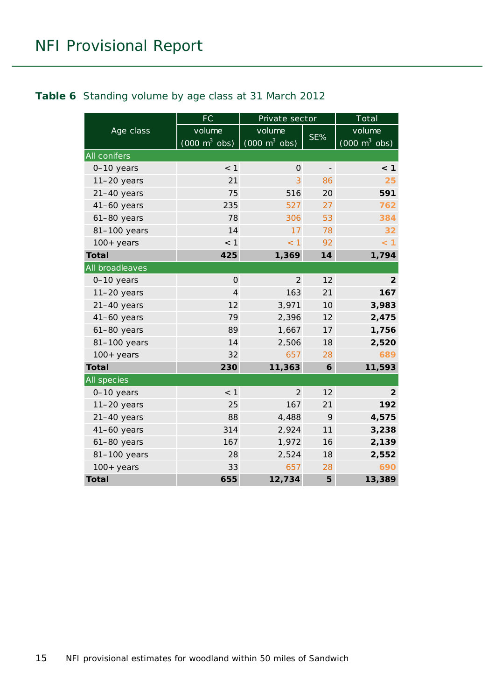#### <span id="page-14-0"></span>**Table 6** Standing volume by age class at 31 March 2012

|                 | <b>FC</b>                       | Private sector                      |                   | To tal                              |
|-----------------|---------------------------------|-------------------------------------|-------------------|-------------------------------------|
| Age class       | volume                          | volume                              |                   | volume                              |
|                 | $(000 \text{ m}^3 \text{ obs})$ | $(000 \; \text{m}^3 \; \text{obs})$ | SE%               | $(000 \; \text{m}^3 \; \text{obs})$ |
| All conifers    |                                 |                                     |                   |                                     |
| 0-10 years      | < 1                             | $\Omega$                            | $\qquad \qquad -$ | < 1                                 |
| $11-20$ years   | 21                              | 3                                   | 86                | 25                                  |
| $21-40$ years   | 75                              | 516                                 | 20                | 591                                 |
| $41-60$ years   | 235                             | 527                                 | 27                | 762                                 |
| $61-80$ years   | 78                              | 306                                 | 53                | 384                                 |
| 81-100 years    | 14                              | 17                                  | 78                | 32                                  |
| $100+$ years    | $<$ 1                           | $<$ 1                               | 92                | < 1                                 |
| <b>Total</b>    | 425                             | 1,369                               | 14                | 1,794                               |
| All broadleaves |                                 |                                     |                   |                                     |
| 0-10 years      | $\mathbf 0$                     | $\overline{2}$                      | 12                | $\overline{2}$                      |
| $11-20$ years   | 4                               | 163                                 | 21                | 167                                 |
| $21-40$ years   | 12                              | 3,971                               | 10                | 3,983                               |
| 41-60 years     | 79                              | 2,396                               | 12                | 2,475                               |
| $61-80$ years   | 89                              | 1,667                               | 17                | 1,756                               |
| 81-100 years    | 14                              | 2,506                               | 18                | 2,520                               |
| $100+$ years    | 32                              | 657                                 | 28                | 689                                 |
| <b>Total</b>    | 230                             | 11,363                              | 6                 | 11,593                              |
| All species     |                                 |                                     |                   |                                     |
| 0-10 years      | < 1                             | 2                                   | 12                | $\overline{2}$                      |
| $11-20$ years   | 25                              | 167                                 | 21                | 192                                 |
| $21-40$ years   | 88                              | 4,488                               | 9                 | 4,575                               |
| $41-60$ years   | 314                             | 2,924                               | 11                | 3,238                               |
| 61-80 years     | 167                             | 1,972                               | 16                | 2,139                               |
| 81-100 years    | 28                              | 2,524                               | 18                | 2,552                               |
| $100 + years$   | 33                              | 657                                 | 28                | 690                                 |
| <b>Total</b>    | 655                             | 12,734                              | 5                 | 13,389                              |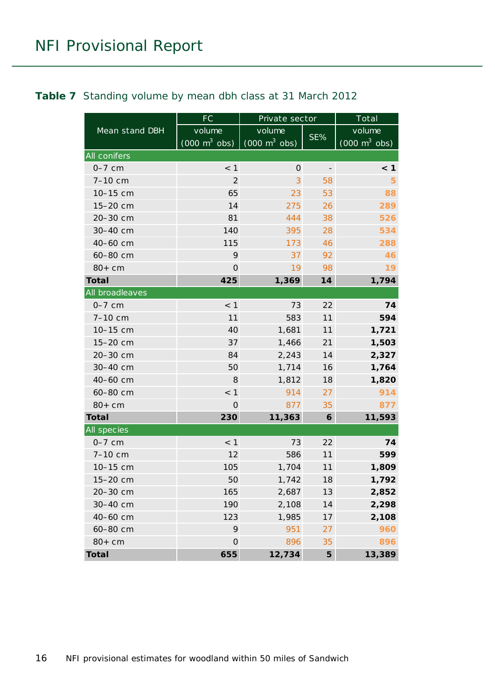#### <span id="page-15-0"></span>**Table 7** Standing volume by mean dbh class at 31 March 2012

|                 | FC                              | Private sector                  |                   | Total                           |
|-----------------|---------------------------------|---------------------------------|-------------------|---------------------------------|
| Mean stand DBH  | volume                          | volume                          |                   | volume                          |
|                 | $(000 \text{ m}^3 \text{ obs})$ | $(000 \text{ m}^3 \text{ obs})$ | SE%               | $(000 \text{ m}^3 \text{ obs})$ |
| All conifers    |                                 |                                 |                   |                                 |
| $0-7$ cm        | $<$ 1                           | $\mathsf{O}\xspace$             | $\qquad \qquad -$ | < 1                             |
| 7-10 cm         | 2                               | 3                               | 58                | 5                               |
| 10-15 cm        | 65                              | 23                              | 53                | 88                              |
| 15-20 cm        | 14                              | 275                             | 26                | 289                             |
| 20-30 cm        | 81                              | 444                             | 38                | 526                             |
| 30-40 cm        | 140                             | 395                             | 28                | 534                             |
| 40-60 cm        | 115                             | 173                             | 46                | 288                             |
| 60-80 cm        | 9                               | 37                              | 92                | 46                              |
| $80+cm$         | $\mathsf{O}\xspace$             | 19                              | 98                | 19                              |
| <b>Total</b>    | 425                             | 1,369                           | 14                | 1,794                           |
| All broadleaves |                                 |                                 |                   |                                 |
| $0-7$ cm        | < 1                             | 73                              | 22                | 74                              |
| 7-10 cm         | 11                              | 583                             | 11                | 594                             |
| 10-15 cm        | 40                              | 1,681                           | 11                | 1,721                           |
| 15-20 cm        | 37                              | 1,466                           | 21                | 1,503                           |
| 20-30 cm        | 84                              | 2,243                           | 14                | 2,327                           |
| 30-40 cm        | 50                              | 1,714                           | 16                | 1,764                           |
| 40-60 cm        | 8                               | 1,812                           | 18                | 1,820                           |
| 60-80 cm        | < 1                             | 914                             | 27                | 914                             |
| $80+cm$         | O                               | 877                             | 35                | 877                             |
| <b>Total</b>    | 230                             | 11,363                          | 6                 | 11,593                          |
| All species     |                                 |                                 |                   |                                 |
| $0-7$ cm        | < 1                             | 73                              | 22                | 74                              |
| 7-10 cm         | 12                              | 586                             | 11                | 599                             |
| 10-15 cm        | 105                             | 1,704                           | 11                | 1,809                           |
| 15-20 cm        | 50                              | 1,742                           | 18                | 1,792                           |
| 20-30 cm        | 165                             | 2,687                           | 13                | 2,852                           |
| 30-40 cm        | 190                             | 2,108                           | 14                | 2,298                           |
| 40-60 cm        | 123                             | 1,985                           | 17                | 2,108                           |
| 60-80 cm        | 9                               | 951                             | 27                | 960                             |
| $80+cm$         | $\mathsf{O}\xspace$             | 896                             | 35                | 896                             |
| <b>Total</b>    | 655                             | 12,734                          | 5                 | 13,389                          |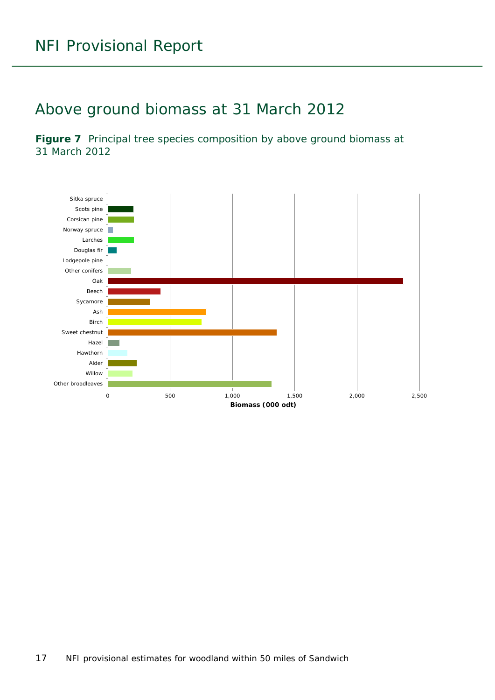### <span id="page-16-0"></span>Above ground biomass at 31 March 2012

<span id="page-16-1"></span>Figure 7 Principal tree species composition by above ground biomass at 31 March 2012

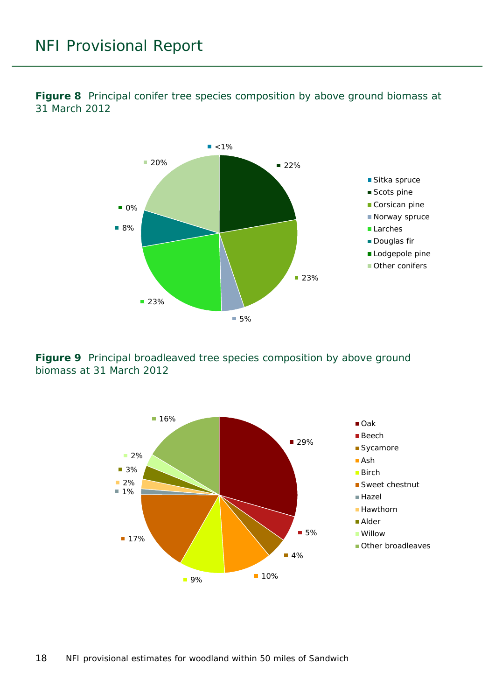<span id="page-17-0"></span>**Figure 8** Principal conifer tree species composition by above ground biomass at 31 March 2012



<span id="page-17-1"></span>**Figure 9** Principal broadleaved tree species composition by above ground biomass at 31 March 2012

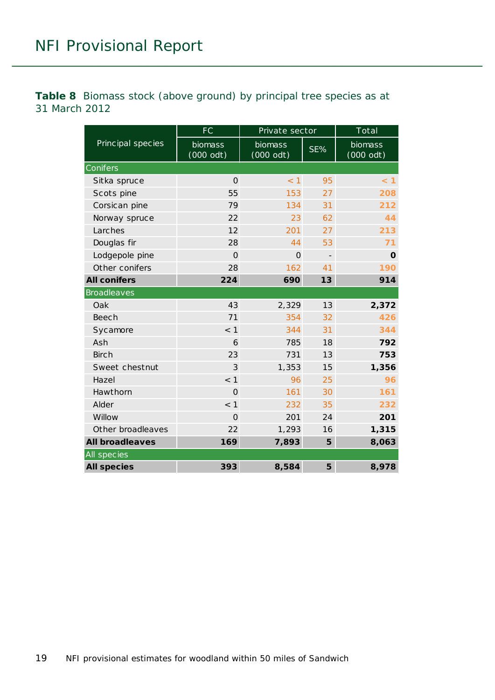<span id="page-18-0"></span>**Table 8** Biomass stock (above ground) by principal tree species as at 31 March 2012

|                        | <b>FC</b>              | Private sector                |                | Total                          |
|------------------------|------------------------|-------------------------------|----------------|--------------------------------|
| Principal species      | biomass<br>$(000$ odt) | <b>biomass</b><br>$(000$ odt) | SE%            | biomass<br>$(000 \text{ odt})$ |
| Conifers               |                        |                               |                |                                |
| Sitka spruce           | $\Omega$               | < 1                           | 95             | < 1                            |
| Scots pine             | 55                     | 153                           | 27             | 208                            |
| Corsican pine          | 79                     | 134                           | 31             | 212                            |
| Norway spruce          | 22                     | 23                            | 62             | 44                             |
| Larches                | 12                     | 201                           | 27             | 213                            |
| Douglas fir            | 28                     | 44                            | 53             | 71                             |
| Lodgepole pine         | $\Omega$               | $\Omega$                      | $\overline{a}$ | O                              |
| Other conifers         | 28                     | 162                           | 41             | 190                            |
| <b>All conifers</b>    | 224                    | 690                           | 13             | 914                            |
| <b>Broadleaves</b>     |                        |                               |                |                                |
| Oak                    | 43                     | 2,329                         | 13             | 2,372                          |
| <b>Beech</b>           | 71                     | 354                           | 32             | 426                            |
| Sycamore               | $<$ 1                  | 344                           | 31             | 344                            |
| Ash                    | 6                      | 785                           | 18             | 792                            |
| <b>Birch</b>           | 23                     | 731                           | 13             | 753                            |
| Sweet chestnut         | 3                      | 1,353                         | 15             | 1,356                          |
| Hazel                  | < 1                    | 96                            | 25             | 96                             |
| Hawthorn               | $\Omega$               | 161                           | 30             | 161                            |
| Alder                  | $<$ 1                  | 232                           | 35             | 232                            |
| Willow                 | $\Omega$               | 201                           | 24             | 201                            |
| Other broadleaves      | 22                     | 1,293                         | 16             | 1,315                          |
| <b>All broadleaves</b> | 169                    | 7,893                         | 5              | 8,063                          |
| All species            |                        |                               |                |                                |
| <b>All species</b>     | 393                    | 8,584                         | 5              | 8,978                          |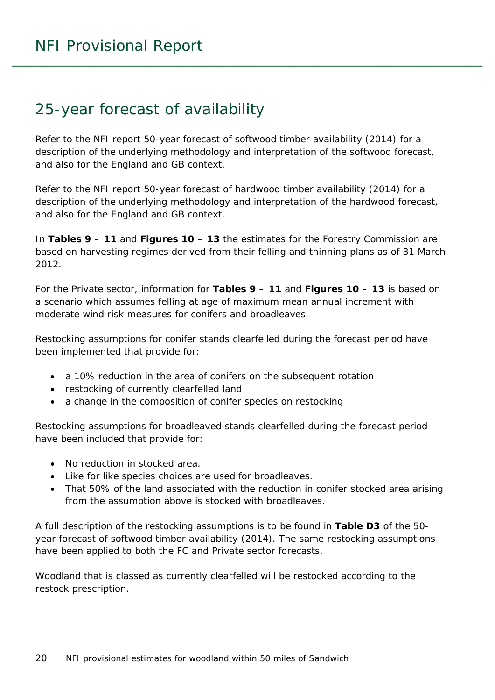### <span id="page-19-0"></span>25-year forecast of availability

Refer to the NFI report *50-year forecast of softwood timber availability* (2014) for a description of the underlying methodology and interpretation of the softwood forecast, and also for the England and GB context.

Refer to the NFI report *50-year forecast of hardwood timber availability* (2014) for a description of the underlying methodology and interpretation of the hardwood forecast, and also for the England and GB context.

In **Tables 9 – 11** and **Figures 10 – 13** the estimates for the Forestry Commission are based on harvesting regimes derived from their felling and thinning plans as of 31 March 2012.

For the Private sector, information for **Tables 9 – 11** and **Figures 10 – 13** is based on a scenario which assumes felling at age of maximum mean annual increment with moderate wind risk measures for conifers and broadleaves.

Restocking assumptions for conifer stands clearfelled during the forecast period have been implemented that provide for:

- a 10% reduction in the area of conifers on the subsequent rotation
- restocking of currently clearfelled land
- a change in the composition of conifer species on restocking

Restocking assumptions for broadleaved stands clearfelled during the forecast period have been included that provide for:

- No reduction in stocked area.
- Like for like species choices are used for broadleaves.
- That 50% of the land associated with the reduction in conifer stocked area arising from the assumption above is stocked with broadleaves.

A full description of the restocking assumptions is to be found in **Table D3** of the *50 year forecast of softwood timber availability* (2014). The same restocking assumptions have been applied to both the FC and Private sector forecasts.

Woodland that is classed as currently clearfelled will be restocked according to the restock prescription.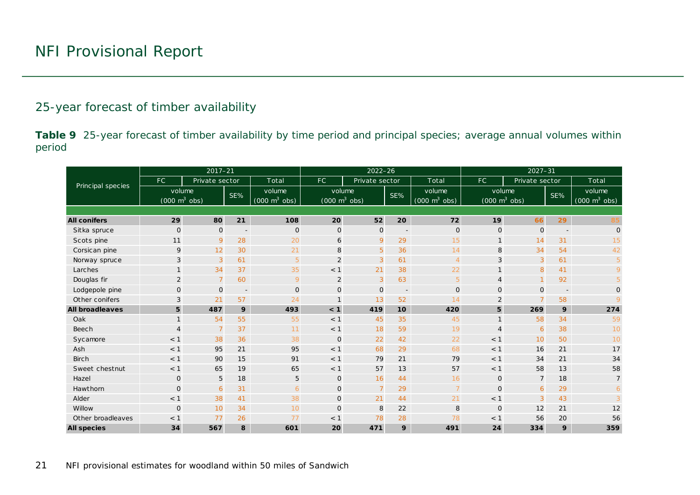#### 25-year forecast of timber availability

**Table 9** 25-year forecast of timber availability by time period and principal species; average annual volumes within period

<span id="page-20-0"></span>

|                        |                                 | $2017 - 21$    |                          |                                 |                                     | $2022 - 26$    |                          |                                 | $2027 - 31$                         |                |     |                                     |  |  |
|------------------------|---------------------------------|----------------|--------------------------|---------------------------------|-------------------------------------|----------------|--------------------------|---------------------------------|-------------------------------------|----------------|-----|-------------------------------------|--|--|
| Principal species      | FC.                             | Private sector |                          | Total                           | FC.                                 | Private sector |                          | Total                           | FC.                                 | Private sector |     | Total                               |  |  |
|                        | volume                          |                | SE%                      | volume                          | volume                              |                | SE%                      | volume                          | volume                              |                | SE% | volume                              |  |  |
|                        | $(000 \text{ m}^3 \text{ obs})$ |                |                          | $(000 \text{ m}^3 \text{ obs})$ | $(000 \; \text{m}^3 \; \text{obs})$ |                |                          | $(000 \text{ m}^3 \text{ obs})$ | $(000 \; \text{m}^3 \; \text{obs})$ |                |     | $(000 \; \text{m}^3 \; \text{obs})$ |  |  |
|                        |                                 |                |                          |                                 |                                     |                |                          |                                 |                                     |                |     |                                     |  |  |
| <b>All conifers</b>    | 29                              | 80             | 21                       | 108                             | 20                                  | 52             | 20                       | 72                              | 19                                  | 66             | 29  | 85                                  |  |  |
| Sitka spruce           | $\mathbf 0$                     | $\mathbf{O}$   | $\overline{\phantom{m}}$ | $\mathbf 0$                     | $\mathbf 0$                         | $\mathsf{O}$   | $\overline{\phantom{a}}$ | $\mathbf{O}$                    | $\mathbf 0$                         | $\mathbf 0$    |     | $\mathsf{O}$                        |  |  |
| Scots pine             | 11                              | 9              | 28                       | 20                              | 6                                   | 9              | 29                       | 15                              | $\mathbf{1}$                        | 14             | 31  | 15                                  |  |  |
| Corsican pine          | 9                               | 12             | 30                       | 21                              | 8                                   | 5              | 36                       | 14                              | 8                                   | 34             | 54  | 42                                  |  |  |
| Norway spruce          | 3                               | 3              | 61                       | 5                               | $\overline{2}$                      | 3              | 61                       | $\overline{4}$                  | $\sqrt{3}$                          | 3              | 61  | 5                                   |  |  |
| Larches                |                                 | 34             | 37                       | 35                              | < 1                                 | 21             | 38                       | 22                              | $\mathbf{1}$                        | 8              | 41  | 9                                   |  |  |
| Douglas fir            | $\overline{2}$                  | $\overline{7}$ | 60                       | 9                               | 2                                   | 3              | 63                       | $\overline{5}$                  | $\overline{4}$                      |                | 92  | $\overline{5}$                      |  |  |
| Lodgepole pine         | $\mathbf 0$                     | $\mathbf{0}$   | $\overline{\phantom{a}}$ | $\overline{O}$                  | $\mathbf{O}$                        | $\mathbf 0$    | $\overline{\phantom{a}}$ | $\mathbf 0$                     | $\mathbf 0$                         | $\mathbf 0$    |     | 0                                   |  |  |
| Other conifers         | 3                               | 21             | 57                       | 24                              | $\mathbf{1}$                        | 13             | 52                       | 14                              | $\overline{2}$                      |                | 58  |                                     |  |  |
| <b>All broadleaves</b> | 5                               | 487            | 9                        | 493                             | < 1                                 | 419            | 10                       | 420                             | 5                                   | 269            | 9   | 274                                 |  |  |
| Oak                    | $\mathbf{1}$                    | 54             | 55                       | 55                              | < 1                                 | 45             | 35                       | 45                              | $\mathbf{1}$                        | 58             | 34  | 59                                  |  |  |
| Beech                  | $\overline{4}$                  | $\overline{7}$ | 37                       | 11                              | < 1                                 | 18             | 59                       | 19                              | $\overline{4}$                      | 6              | 38  | 10                                  |  |  |
| Sycamore               | $<$ 1                           | 38             | 36                       | 38                              | $\mathbf 0$                         | 22             | 42                       | 22                              | < 1                                 | 10             | 50  | 10                                  |  |  |
| Ash                    | $<$ 1                           | 95             | 21                       | 95                              | < 1                                 | 68             | 29                       | 68                              | < 1                                 | 16             | 21  | 17                                  |  |  |
| <b>Birch</b>           | $<$ 1                           | 90             | 15                       | 91                              | < 1                                 | 79             | 21                       | 79                              | < 1                                 | 34             | 21  | 34                                  |  |  |
| Sweet chestnut         | $<$ 1                           | 65             | 19                       | 65                              | < 1                                 | 57             | 13                       | 57                              | < 1                                 | 58             | 13  | 58                                  |  |  |
| Hazel                  | $\mathbf 0$                     | 5              | 18                       | 5                               | $\mathbf 0$                         | 16             | 44                       | 16                              | $\mathbf 0$                         | $\overline{7}$ | 18  | $\overline{7}$                      |  |  |
| Hawthorn               | $\mathbf 0$                     | 6              | 31                       | 6                               | $\mathbf 0$                         | $\overline{7}$ | 29                       | $\overline{7}$                  | $\mathbf 0$                         | 6              | 29  | 6                                   |  |  |
| Alder                  | < 1                             | 38             | 41                       | 38                              | $\mathbf 0$                         | 21             | 44                       | 21                              | < 1                                 | 3              | 43  | 3                                   |  |  |
| Willow                 | $\Omega$                        | 10             | 34                       | 10                              | $\mathbf{O}$                        | 8              | 22                       | 8                               | $\mathbf 0$                         | 12             | 21  | 12                                  |  |  |
| Other broadleaves      | < 1                             | 77             | 26                       | 77                              | $<$ 1                               | 78             | 28                       | 78                              | < 1                                 | 56             | 20  | 56                                  |  |  |
| <b>All species</b>     | 34                              | 567            | 8                        | 601                             | 20                                  | 471            | 9                        | 491                             | 24                                  | 334            | 9   | 359                                 |  |  |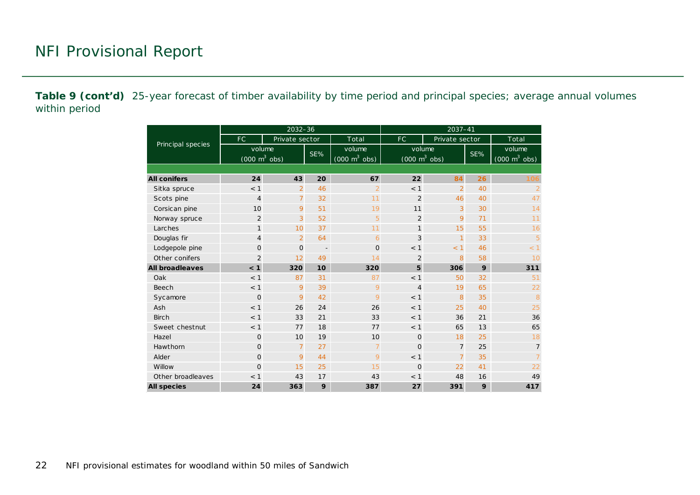**Table 9 (cont'd)** 25-year forecast of timber availability by time period and principal species; average annual volumes within period

|                        |                                               | $2032 - 36$    |                          |                                               | 2037-41        |                                               |    |                                               |  |  |  |
|------------------------|-----------------------------------------------|----------------|--------------------------|-----------------------------------------------|----------------|-----------------------------------------------|----|-----------------------------------------------|--|--|--|
|                        | FC.                                           | Private sector |                          | Total                                         | FC             | Private sector                                |    | Total                                         |  |  |  |
| Principal species      | volume<br>$(000 \; \text{m}^3 \; \text{obs})$ |                | SE%                      | volume<br>$(000 \; \text{m}^3 \; \text{obs})$ |                | volume<br>$(000 \; \text{m}^3 \; \text{obs})$ |    | volume<br>$(000 \; \text{m}^3 \; \text{obs})$ |  |  |  |
|                        |                                               |                |                          |                                               |                |                                               |    |                                               |  |  |  |
| <b>All conifers</b>    | 24                                            | 43             | 20                       | 67                                            | 22             | 84                                            | 26 | 106                                           |  |  |  |
| Sitka spruce           | < 1                                           | $\overline{2}$ | 46                       | $\overline{2}$                                | $<$ 1          | $\overline{2}$                                | 40 | $\overline{2}$                                |  |  |  |
| Scots pine             | $\overline{4}$                                | $\overline{7}$ | 32                       | 11                                            | 2              | 46                                            | 40 | 47                                            |  |  |  |
| Corsican pine          | 10                                            | 9              | 51                       | 19                                            | 11             | 3                                             | 30 | 14                                            |  |  |  |
| Norway spruce          | $\overline{2}$                                | 3              | 52                       | 5                                             | $\overline{2}$ | 9                                             | 71 | 11                                            |  |  |  |
| Larches                | $\mathbf{1}$                                  | 10             | 37                       | 11                                            | 1              | 15                                            | 55 | 16                                            |  |  |  |
| Douglas fir            | $\overline{4}$                                | $\overline{2}$ | 64                       | 6                                             | 3              | $\mathbf{1}$                                  | 33 | 5                                             |  |  |  |
| Lodgepole pine         | $\Omega$                                      | $\mathbf{O}$   | $\overline{\phantom{a}}$ | $\overline{0}$                                | < 1            | < 1                                           | 46 | < 1                                           |  |  |  |
| Other conifers         | $\overline{2}$                                | 12             | 49                       | 14                                            | $\overline{2}$ | 8                                             | 58 | 10                                            |  |  |  |
| <b>All broadleaves</b> | < 1                                           | 320            | 10                       | 320                                           | 5              | 306                                           | 9  | 311                                           |  |  |  |
| Oak                    | < 1                                           | 87             | 31                       | 87                                            | < 1            | 50                                            | 32 | 51                                            |  |  |  |
| Beech                  | < 1                                           | 9              | 39                       | 9                                             | $\overline{4}$ | 19                                            | 65 | 22                                            |  |  |  |
| Sycamore               | $\Omega$                                      | 9              | 42                       | 9                                             | < 1            | 8                                             | 35 | 8                                             |  |  |  |
| Ash                    | < 1                                           | 26             | 24                       | 26                                            | < 1            | 25                                            | 40 | 25                                            |  |  |  |
| <b>Birch</b>           | < 1                                           | 33             | 21                       | 33                                            | < 1            | 36                                            | 21 | 36                                            |  |  |  |
| Sweet chestnut         | < 1                                           | 77             | 18                       | 77                                            | < 1            | 65                                            | 13 | 65                                            |  |  |  |
| Hazel                  | $\mathbf{O}$                                  | 10             | 19                       | 10                                            | $\mathbf{O}$   | 18                                            | 25 | 18                                            |  |  |  |
| Hawthorn               | $\mathbf{O}$                                  | $\overline{7}$ | 27                       | $\overline{7}$                                | $\Omega$       | $\overline{7}$                                | 25 | $\overline{7}$                                |  |  |  |
| Alder                  | $\mathbf{O}$                                  | 9              | 44                       | 9                                             | < 1            | $\overline{7}$                                | 35 | $\overline{7}$                                |  |  |  |
| Willow                 | $\mathbf 0$                                   | 15             | 25                       | 15                                            | $\Omega$       | 22                                            | 41 | 22                                            |  |  |  |
| Other broadleaves      | 43<br>< 1                                     |                | 17                       | 43                                            | < 1            | 48                                            | 16 | 49                                            |  |  |  |
| <b>All species</b>     | 24                                            | 363            | 9                        | 387                                           | 27             | 391                                           | 9  | 417                                           |  |  |  |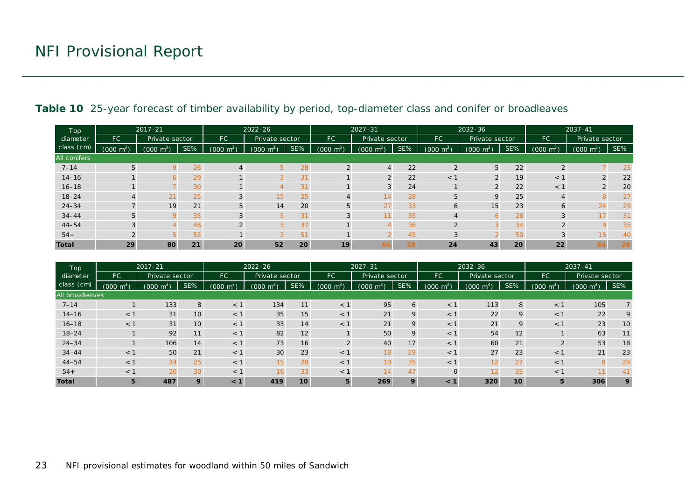| Top <sup>1</sup>    | $2017 - 21$         |                                 |     |                     | $2022 - 26$    |     | $2027 - 31$         |                       |     | 2032-36             |                     |     | $2037 - 41$         |                     |     |
|---------------------|---------------------|---------------------------------|-----|---------------------|----------------|-----|---------------------|-----------------------|-----|---------------------|---------------------|-----|---------------------|---------------------|-----|
| diameter            | <b>FC</b>           | Private sector                  |     | FC.                 | Private sector |     | <b>FC</b>           | Private sector        |     | <b>FC</b>           | Private sector      |     | <b>FC</b>           | Private sector      |     |
| class (cm)          | $(000 \text{ m}^3)$ | $\cdot$ m <sup>3</sup><br>(000) | SE% | $(000 \text{ m}^3)$ | (000)<br>$m^3$ | SE% | $(000 \text{ m}^3)$ | $(000 \; \text{m}^3)$ | SE% | $(000 \text{ m}^3)$ | $(000 \text{ m}^3)$ | SE% | $(000 \text{ m}^3)$ | $(000 \text{ m}^3)$ | SE% |
| <b>All conifers</b> |                     |                                 |     |                     |                |     |                     |                       |     |                     |                     |     |                     |                     |     |
| $7 - 14$            | 5                   |                                 | 26  | $\overline{4}$      |                | 28  | 2                   |                       | 22  |                     | 5                   | 22  | $\overline{2}$      |                     | 25  |
| $14 - 16$           |                     |                                 | 29  |                     |                | 31  |                     |                       | 22  | $<$ 1               | $\Omega$            | 19  | $<$ 1               |                     | 22  |
| $16 - 18$           |                     |                                 | 30  |                     |                | 31  |                     |                       | 24  |                     | $\Omega$            | 22  | < 1                 |                     | 20  |
| $18 - 24$           |                     | 21                              | 25  | 3                   | 15             | 25  |                     | 14                    | 28  |                     | $\mathsf Q$         | 25  |                     |                     | 27  |
| $24 - 34$           |                     | 19                              | 21  | 5                   | 14             | 20  | 5                   | 27                    | 33  | 6                   | 15                  | 23  | 6                   | 24                  | 29  |
| $34 - 44$           | 5                   |                                 | 35  | 3                   |                | 31  | 3                   |                       | 35  |                     |                     | 28  | 3                   | 17                  | 31  |
| $44 - 54$           | 3                   |                                 | 46  |                     |                | 37  |                     |                       | 36  |                     |                     | 34  | $\mathcal{P}$       |                     | 35  |
| $54+$               | $\Omega$            |                                 | 53  |                     |                | 51  |                     |                       | 45  |                     |                     | 50  |                     | 15                  | 40  |
| <b>Total</b>        | 29                  | 80                              | 21  | 20                  | 52             | 20  | 19                  | 66                    | 29  | 24                  | 43                  | 20  | 22                  | 84                  | 26  |

#### Table 10 25-year forecast of timber availability by period, top-diameter class and conifer or broadleaves

<span id="page-22-0"></span>

| Top<br>diameter | $2017 - 21$         |                                         |     |                      | $2022 - 26$                      |                |                     | $2027 - 31$    |     |                                   | $2032 - 36$    |     |                     | $2037 - 41$    |     |
|-----------------|---------------------|-----------------------------------------|-----|----------------------|----------------------------------|----------------|---------------------|----------------|-----|-----------------------------------|----------------|-----|---------------------|----------------|-----|
|                 | <b>FC</b>           | Private sector                          |     | <b>FC</b>            |                                  | Private sector |                     | Private sector |     | <b>FC</b>                         | Private sector |     | <b>FC</b>           | Private sector |     |
| class (cm)      | $(000 \text{ m}^3)$ | $\cdot$ m <sup>3</sup> $\cdot$<br>(000) | SE% | $\sqrt{m^3}$<br>0001 | $\text{J} \text{ m}^{3}$<br>000) | SE%            | $(000 \text{ m}^3)$ | $m^3$<br>(000) | SE% | $\text{J} \text{ m}^{3}$<br>(000) | $m^3$<br>(000) | SE% | $(000 \text{ m}^3)$ | $m^3$<br>(000) | SE% |
| All broadleaves |                     |                                         |     |                      |                                  |                |                     |                |     |                                   |                |     |                     |                |     |
| $7 - 14$        |                     | 133                                     | 8   | $<$ 1                | 134                              | 11             | $<$ 1               | 95             | 6   | $<$ 1                             | 113            | 8   | < 1                 | 105            |     |
| $14 - 16$       | $<$ 1               | 31                                      | 10  | $<$ 1                | 35                               | 15             | $<$ 1               | 21             | 9   | $<$ 1                             | 22             | 9   | < 1                 | 22             | 9   |
| $16 - 18$       | $<$ 1               | 31                                      | 10  | $<$ 1                | 33                               | 14             | $<$ 1               | 21             | 9   | $<$ 1                             | 21             | 9   | $<$ 1               | 23             | 10  |
| $18 - 24$       |                     | 92                                      | 11  | $<$ 1                | 82                               | 12             |                     | 50             | 9   | $<$ 1                             | 54             | 12  |                     | 63             | 11  |
| $24 - 34$       |                     | 106                                     | 14  | < 1                  | 73                               | 16             | $\overline{2}$      | 40             | 17  | $<$ 1                             | 60             | 21  | $\Omega$            | 53             | 18  |
| $34 - 44$       | $<$ 1               | 50                                      | 21  | < 1                  | 30                               | 23             | $<$ 1               | 18             | 29  | $<$ 1                             | 27             | 23  | < 1                 | 21             | 23  |
| $44 - 54$       | $<$ 1               | 24                                      | 25  | < 1                  | 15                               | 28             | $<$ 1               | 10             | 35  | < 1                               | 12             | 27  | < 1                 |                | 29  |
| $54+$           | $<$ 1               | 20                                      | 30  | $<$ 1                | 16                               | 33             | $<$ 1               | 14             | 47  | $\Omega$                          | 12             | 33  | < 1                 |                | 41  |
| <b>Total</b>    | 5                   | 487                                     | 9   | < 1                  | 419                              | 10             | 5                   | 269            | 9   | $\leq 1$                          | 320            | 10  | 5                   | 306            | 9   |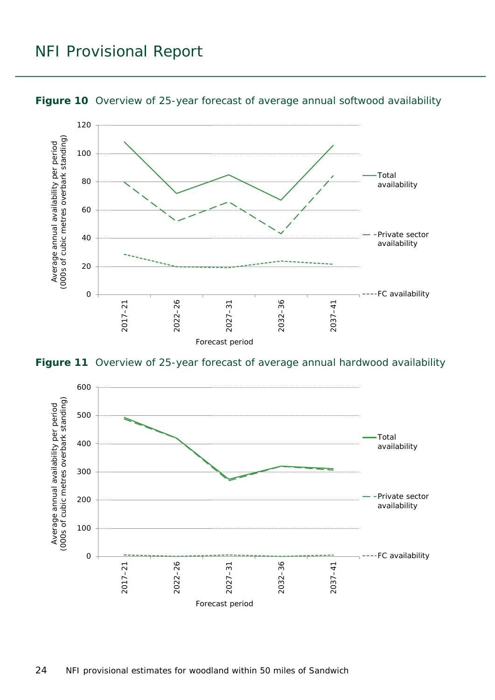

#### <span id="page-23-0"></span>**Figure 10** Overview of 25-year forecast of average annual softwood availability

<span id="page-23-1"></span>**Figure 11** Overview of 25-year forecast of average annual hardwood availability

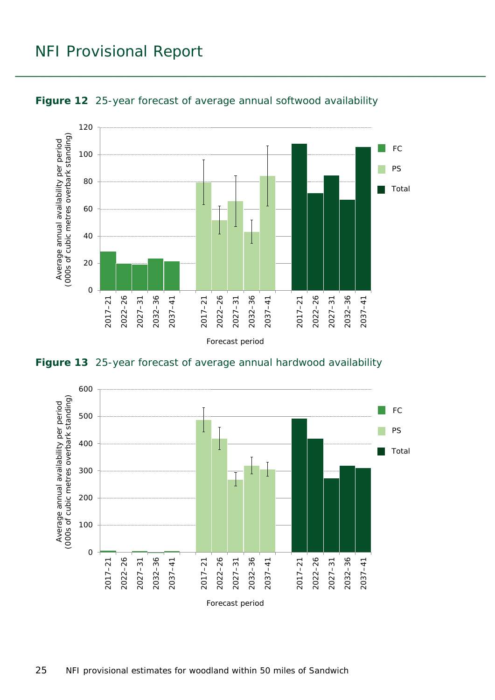

<span id="page-24-0"></span>

<span id="page-24-1"></span>**Figure 13** 25-year forecast of average annual hardwood availability

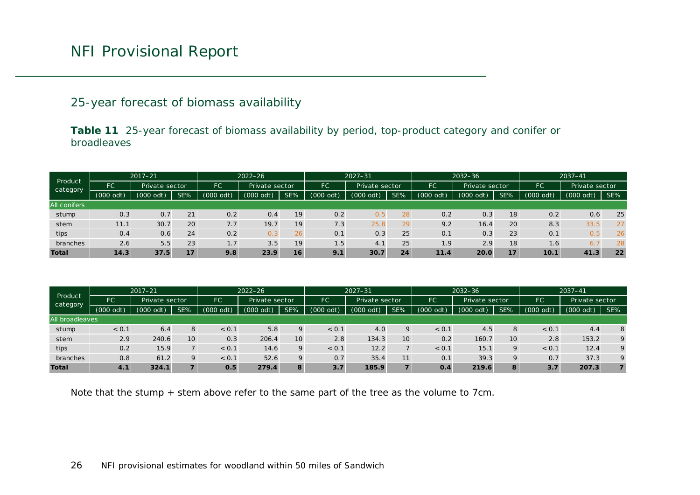#### 25-year forecast of biomass availability

**Table 11** 25-year forecast of biomass availability by period, top-product category and conifer or broadleaves

| Product<br>category | $2017 - 21$  |                |     |           | $2022 - 26$      |                |              | $2027 - 31$           |     |                             | $2032 - 36$ |     |               | $2037 - 41$    |     |
|---------------------|--------------|----------------|-----|-----------|------------------|----------------|--------------|-----------------------|-----|-----------------------------|-------------|-----|---------------|----------------|-----|
|                     | FC           | Private sector |     | FC.       |                  | Private sector |              | FC<br>Private sector  |     | <b>FC</b><br>Private sector |             |     | FC            | Private sector |     |
|                     | (000)<br>odt | (000)<br>dt.   | SE% | (000 odt) | 000(<br>(inton)  | SE%            | 000(<br>odt) | (000)<br>$\text{od}t$ | SE% | 000<br>(1)                  | $(000$ odt) | SE% | $000^{\circ}$ | odt)<br>(000)  | SE% |
| <b>All conifers</b> |              |                |     |           |                  |                |              |                       |     |                             |             |     |               |                |     |
| stump               | 0.3          | 0.7            | 21  | 0.2       | 0.4              | 19             | 0.2          | 0.5                   | 28  | 0.2                         | 0.3         | 18  | 0.2           | 0.6            | 25  |
| stem                | 11.1         | 30.7           | 20  | 7.7       | 19.7             | 19             | 7.3          | 25.8                  | 29  | 9.2                         | 16.4        | 20  | 8.3           | 33.5           | 27  |
| tips                | 0.4          | 0.6            | 24  | 0.2       | $0.\overline{3}$ | 26             | 0.1          | 0.3                   | 25  | 0.1                         | 0.3         | 23  | 0.1           | 0.5            | 26  |
| branches            | 2.6          | 5.5            | 23  | 1.7       | 3.5              | 19             | 1.5          | 4.1                   | 25  | 1.9                         | 2.9         | 18  | 1.6           | 6.             | 28  |
| <b>Total</b>        | 14.3         | 37.5           | 17  | 9.8       | 23.9             | 16             | 9.1          | 30.7                  | 24  | 11.4                        | 20.0        | 17  | 10.1          | 41.3           | 22  |

<span id="page-25-0"></span>

| Product<br>category    | $2017 - 21$ |                |     |                  | $2022 - 26$    |     |               | $2027 - 31$    |     |             | $2032 - 36$    |                |             | $2037 - 41$         |                  |
|------------------------|-------------|----------------|-----|------------------|----------------|-----|---------------|----------------|-----|-------------|----------------|----------------|-------------|---------------------|------------------|
|                        | FC          | Private sector |     | FC               | Private sector |     | FC            | Private sector |     | FC          | Private sector |                | FC          | Private sector      |                  |
|                        | (000 odt)   | (000)<br>odt)  | SE% | (000 odt)        | (000 odt)      | SE% | odt)<br>(000) | $(000$ odt)    | SE% | $(000$ odt) | $(000$ odt)    | SE%            | $(000$ odt) | $(000 \text{ odt})$ | SE%              |
| <b>All broadleaves</b> |             |                |     |                  |                |     |               |                |     |             |                |                |             |                     |                  |
| stump                  | < 0.1       | 6.4            | 8   | < 0.1            | 5.8            | Q   | < 0.1         | 4.0            | 9   | < 0.1       | 4.5            | 8              | < 0.1       | 4.4                 | 8                |
| stem                   | 2.9         | 240.6          | 10  | 0.3              | 206.4          | 10  | 2.8           | 134.3          | 10  | 0.2         | 160.7          | 10             | 2.8         | 153.2               | $\boldsymbol{Q}$ |
| tips                   | 0.2         | 15.9           |     | < 0.1            | 14.6           | 9   | < 0.1         | 12.2           |     | < 0.1       | 15.1           | 9              | < 0.1       | 12.4                | $\boldsymbol{Q}$ |
| branches               | 0.8         | 61.2           | 9   | < 0.1            | 52.6           | O   | 0.7           | 35.4           | 11  | 0.1         | 39.3           | $\overline{Q}$ | 0.7         | 37.3                | 9                |
| <b>Total</b>           | 4.1         | 324.1          | 7   | 0.5 <sub>1</sub> | 279.4          | 8   | 3.7           | 185.9          |     | 0.4         | 219.6          | 8              | 3.7         | 207.3               |                  |

Note that the stump + stem above refer to the same part of the tree as the volume to 7cm.